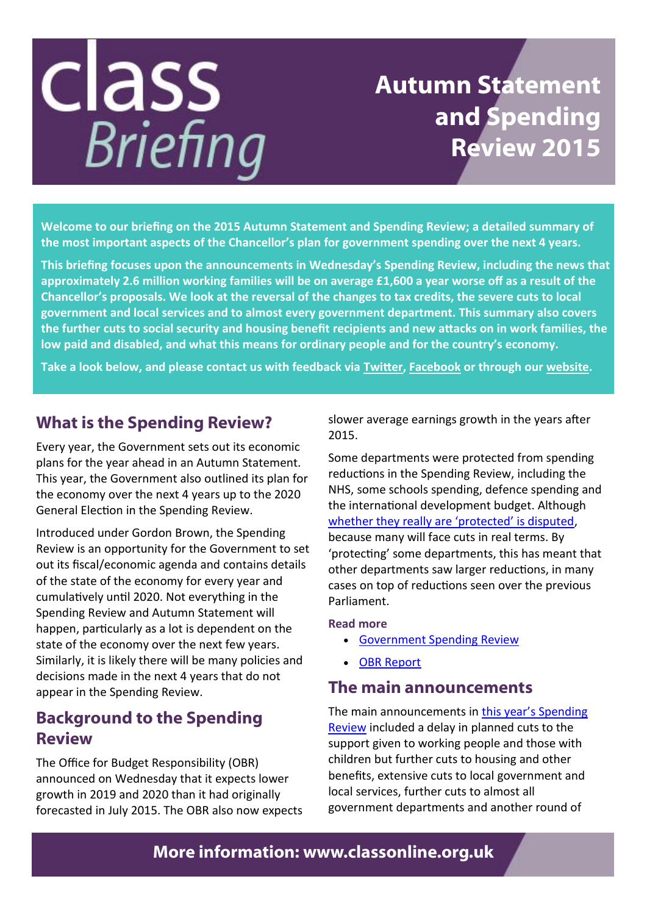### class **Briefing**

### **Autumn Statement and Spending Review 2015**

**Welcome to our briefing on the 2015 Autumn Statement and Spending Review; a detailed summary of the most important aspects of the Chancellor's plan for government spending over the next 4 years.**

**This briefing focuses upon the announcements in Wednesday's Spending Review, including the news that approximately 2.6 million working families will be on average £1,600 a year worse off as a result of the Chancellor's proposals. We look at the reversal of the changes to tax credits, the severe cuts to local government and local services and to almost every government department. This summary also covers the further cuts to social security and housing benefit recipients and new attacks on in work families, the low paid and disabled, and what this means for ordinary people and for the country's economy.**

**Take a look below, and please contact us with feedback via [Twitter,](http://classonline.us5.list-manage.com/track/click?u=604b2d79206bc74c5a59ad291&id=0493312bf8&e=00a2fef11e) [Facebook](http://classonline.us5.list-manage.com/track/click?u=604b2d79206bc74c5a59ad291&id=d03b6641fc&e=00a2fef11e) or through our [website.](http://classonline.us5.list-manage1.com/track/click?u=604b2d79206bc74c5a59ad291&id=062b15bc53&e=00a2fef11e)**

### **What is the Spending Review?**

Every year, the Government sets out its economic plans for the year ahead in an Autumn Statement. This year, the Government also outlined its plan for the economy over the next 4 years up to the 2020 General Election in the Spending Review.

Introduced under Gordon Brown, the Spending Review is an opportunity for the Government to set out its fiscal/economic agenda and contains details of the state of the economy for every year and cumulatively until 2020. Not everything in the Spending Review and Autumn Statement will happen, particularly as a lot is dependent on the state of the economy over the next few years. Similarly, it is likely there will be many policies and decisions made in the next 4 years that do not appear in the Spending Review.

### **Background to the Spending Review**

The Office for Budget Responsibility (OBR) announced on Wednesday that it expects lower growth in 2019 and 2020 than it had originally forecasted in July 2015. The OBR also now expects slower average earnings growth in the years after 2015.

Some departments were protected from spending reductions in the Spending Review, including the NHS, some schools spending, defence spending and the international development budget. Although [whether they really are 'protected' is disputed,](http://www.independent.co.uk/voices/autumn-statement-forget-the-idea-that-parts-of-the-public-sector-will-be-protected-a6749096.html)  because many will face cuts in real terms. By 'protecting' some departments, this has meant that other departments saw larger reductions, in many cases on top of reductions seen over the previous Parliament.

#### **Read more**

- [Government Spending Review](https://www.gov.uk/government/publications/spending-review-and-autumn-statement-2015-documents/spending-review-and-autumn-statement-2015)
- [OBR Report](http://cdn.budgetresponsibility.independent.gov.uk/EFO_November__2015.pdf)

### **The main announcements**

The main announcements in [this year's Spending](https://www.gov.uk/government/uploads/system/uploads/attachment_data/file/479749/52229_Blue_Book_PU1865_Web_Accessible.pdf)  [Review](https://www.gov.uk/government/uploads/system/uploads/attachment_data/file/479749/52229_Blue_Book_PU1865_Web_Accessible.pdf) included a delay in planned cuts to the support given to working people and those with children but further cuts to housing and other benefits, extensive cuts to local government and local services, further cuts to almost all government departments and another round of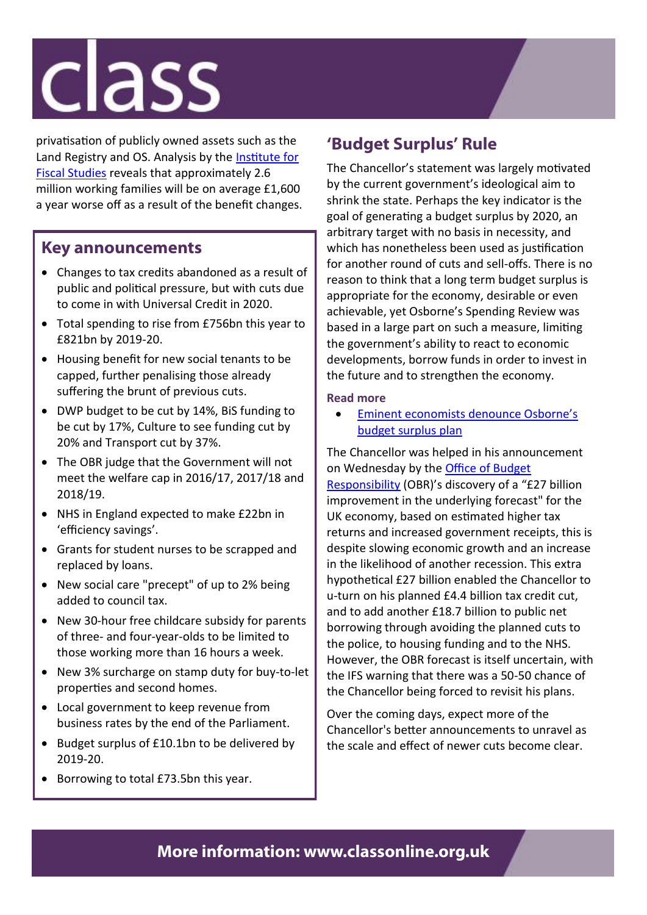## **Class**

privatisation of publicly owned assets such as the Land Registry and OS. Analysis by the [Institute for](http://www.theguardian.com/business/2015/nov/26/autumn-statement-ifs-warns-on-tax-rises-spending-cuts-george-osborne)  [Fiscal Studies](http://www.theguardian.com/business/2015/nov/26/autumn-statement-ifs-warns-on-tax-rises-spending-cuts-george-osborne) reveals that approximately 2.6 million working families will be on average £1,600 a year worse off as a result of the benefit changes.

### **Key announcements**

- Changes to tax credits abandoned as a result of public and political pressure, but with cuts due to come in with Universal Credit in 2020.
- Total spending to rise from £756bn this year to £821bn by 2019-20.
- Housing benefit for new social tenants to be capped, further penalising those already suffering the brunt of previous cuts.
- DWP budget to be cut by 14%, BiS funding to be cut by 17%, Culture to see funding cut by 20% and Transport cut by 37%.
- The OBR judge that the Government will not meet the welfare cap in 2016/17, 2017/18 and 2018/19.
- NHS in England expected to make £22bn in 'efficiency savings'.
- Grants for student nurses to be scrapped and replaced by loans.
- New social care "precept" of up to 2% being added to council tax.
- New 30-hour free childcare subsidy for parents of three- and four-year-olds to be limited to those working more than 16 hours a week.
- New 3% surcharge on stamp duty for buy-to-let properties and second homes.
- Local government to keep revenue from business rates by the end of the Parliament.
- Budget surplus of £10.1bn to be delivered by 2019-20.
- Borrowing to total £73.5bn this year.

### **'Budget Surplus' Rule**

The Chancellor's statement was largely motivated by the current government's ideological aim to shrink the state. Perhaps the key indicator is the goal of generating a budget surplus by 2020, an arbitrary target with no basis in necessity, and which has nonetheless been used as justification for another round of cuts and sell-offs. There is no reason to think that a long term budget surplus is appropriate for the economy, desirable or even achievable, yet Osborne's Spending Review was based in a large part on such a measure, limiting the government's ability to react to economic developments, borrow funds in order to invest in the future and to strengthen the economy.

### **Read more**

 [Eminent economists denounce Osborne's](http://classonline.org.uk/news/latest/79-eminent-economists-slam-osbornes-budget-surplus-plan)  [budget surplus plan](http://classonline.org.uk/news/latest/79-eminent-economists-slam-osbornes-budget-surplus-plan)

The Chancellor was helped in his announcement on Wednesday by the [Office of Budget](http://cdn.budgetresponsibility.independent.gov.uk/EFO_November__2015.pdf)  [Responsibility](http://cdn.budgetresponsibility.independent.gov.uk/EFO_November__2015.pdf) (OBR)'s discovery of a "£27 billion improvement in the underlying forecast" for the UK economy, based on estimated higher tax returns and increased government receipts, this is despite slowing economic growth and an increase in the likelihood of another recession. This extra hypothetical £27 billion enabled the Chancellor to u-turn on his planned £4.4 billion tax credit cut, and to add another £18.7 billion to public net borrowing through avoiding the planned cuts to the police, to housing funding and to the NHS. However, the OBR forecast is itself uncertain, with the IFS warning that there was a 50-50 chance of the Chancellor being forced to revisit his plans.

Over the coming days, expect more of the Chancellor's better announcements to unravel as the scale and effect of newer cuts become clear.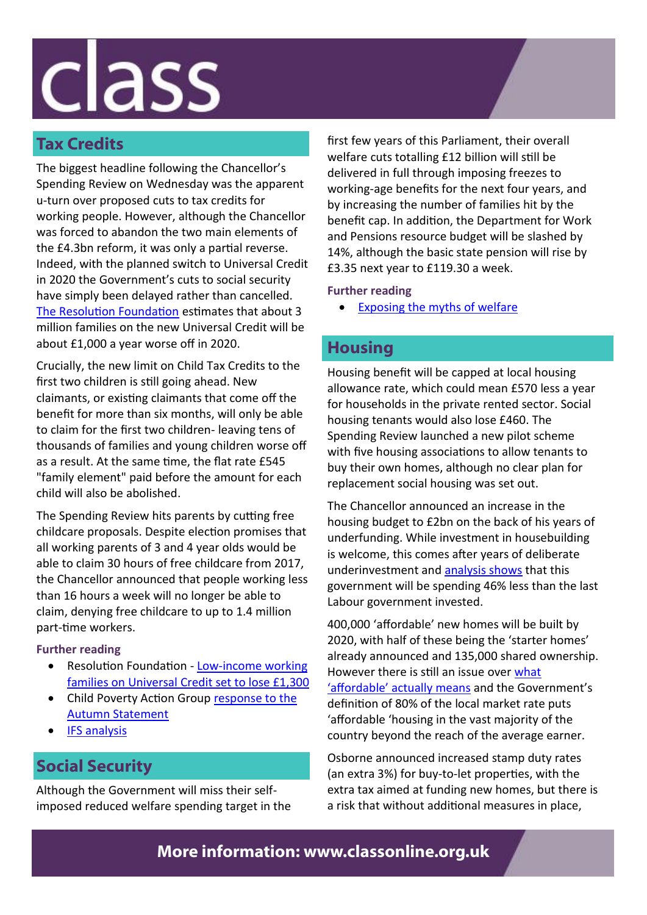# class

### **Tax Credits**

The biggest headline following the Chancellor's Spending Review on Wednesday was the apparent u-turn over proposed cuts to tax credits for working people. However, although the Chancellor was forced to abandon the two main elements of the £4.3bn reform, it was only a partial reverse. Indeed, with the planned switch to Universal Credit in 2020 the Government's cuts to social security have simply been delayed rather than cancelled. [The Resolution Foundation](http://www.resolutionfoundation.org/media/press-releases/low-income-working-families-on-universal-credit-set-to-lose-1300/) estimates that about 3 million families on the new Universal Credit will be about £1,000 a year worse off in 2020.

Crucially, the new limit on Child Tax Credits to the first two children is still going ahead. New claimants, or existing claimants that come off the benefit for more than six months, will only be able to claim for the first two children- leaving tens of thousands of families and young children worse off as a result. At the same time, the flat rate £545 "family element" paid before the amount for each child will also be abolished.

The Spending Review hits parents by cutting free childcare proposals. Despite election promises that all working parents of 3 and 4 year olds would be able to claim 30 hours of free childcare from 2017, the Chancellor announced that people working less than 16 hours a week will no longer be able to claim, denying free childcare to up to 1.4 million part-time workers.

#### **Further reading**

- Resolution Foundation Low-income working [families on Universal Credit set to lose £1,300](http://www.resolutionfoundation.org/media/press-releases/low-income-working-families-on-universal-credit-set-to-lose-1300/)
- Child Poverty Action Group response to the [Autumn Statement](http://cpag.org.uk/content/autumn-statement-tax-credits-u-turn-stay-execution)
- [IFS analysis](http://www.theguardian.com/business/2015/nov/26/autumn-statement-ifs-warns-on-tax-rises-spending-cuts-george-osborne)

### **Social Security**

Although the Government will miss their selfimposed reduced welfare spending target in the

first few years of this Parliament, their overall welfare cuts totalling £12 billion will still be delivered in full through imposing freezes to working-age benefits for the next four years, and by increasing the number of families hit by the benefit cap. In addition, the Department for Work and Pensions resource budget will be slashed by 14%, although the basic state pension will rise by £3.35 next year to £119.30 a week.

### **Further reading**

• [Exposing the myths of welfare](http://classonline.org.uk/pubs/item/exposing-the-myths-of-welfare)

### **Housing**

Housing benefit will be capped at local housing allowance rate, which could mean £570 less a year for households in the private rented sector. Social housing tenants would also lose £460. The Spending Review launched a new pilot scheme with five housing associations to allow tenants to buy their own homes, although no clear plan for replacement social housing was set out.

The Chancellor announced an increase in the housing budget to £2bn on the back of his years of underfunding. While investment in housebuilding is welcome, this comes after years of deliberate underinvestment and [analysis shows](http://www.fabians.org.uk/osborne-the-builder-the-reality-doesnt-match-the-rhetoric/) that this government will be spending 46% less than the last Labour government invested.

400,000 'affordable' new homes will be built by 2020, with half of these being the 'starter homes' already announced and 135,000 shared ownership. However there is still an issue over [what](http://blog.shelter.org.uk/2015/08/what-is-affordable-housing/)  ['affordable' actually means](http://blog.shelter.org.uk/2015/08/what-is-affordable-housing/) and the Government's definition of 80% of the local market rate puts 'affordable 'housing in the vast majority of the country beyond the reach of the average earner.

Osborne announced increased stamp duty rates (an extra 3%) for buy-to-let properties, with the extra tax aimed at funding new homes, but there is a risk that without additional measures in place,

### **More information: www.classonline.org.uk**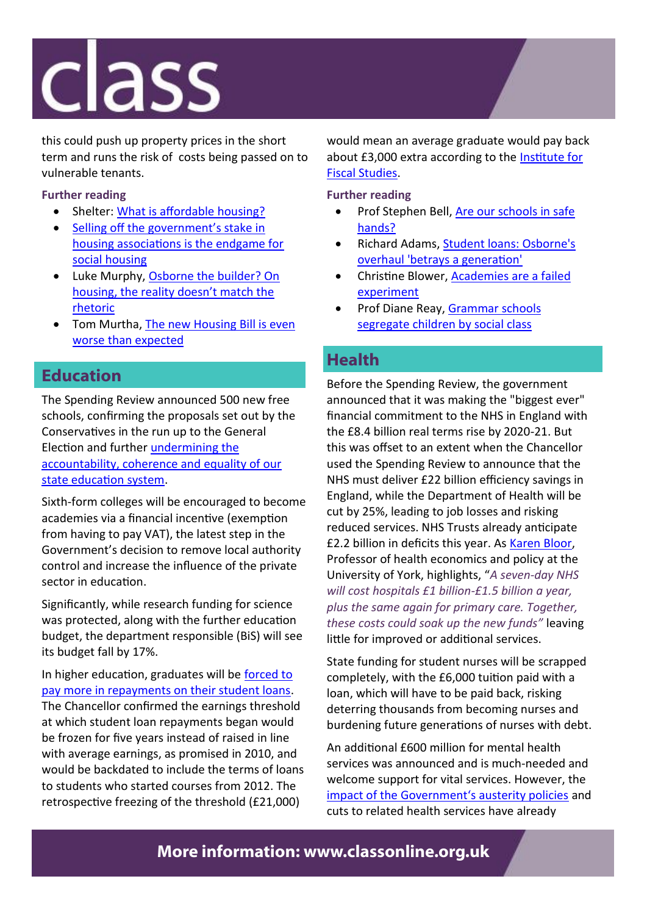### class

this could push up property prices in the short term and runs the risk of costs being passed on to vulnerable tenants.

#### **Further reading**

- Shelter: [What is affordable housing?](http://blog.shelter.org.uk/2015/08/what-is-affordable-housing/)
- Selling off the government's stake in [housing associations is the endgame for](http://classonline.org.uk/blog/item/selling-off-the-governments-stake-in-housing-associations-is-the-endgame-fo)  [social housing](http://classonline.org.uk/blog/item/selling-off-the-governments-stake-in-housing-associations-is-the-endgame-fo)
- Luke Murphy, Osborne the builder? On [housing, the reality doesn't match the](http://www.fabians.org.uk/osborne-the-builder-the-reality-doesnt-match-the-rhetoric/)  [rhetoric](http://www.fabians.org.uk/osborne-the-builder-the-reality-doesnt-match-the-rhetoric/)
- Tom Murtha, [The new Housing Bill is even](http://classonline.org.uk/blog/item/the-new-housing-bill-is-even-worse-than-expected)  [worse than expected](http://classonline.org.uk/blog/item/the-new-housing-bill-is-even-worse-than-expected)

### **Education**

The Spending Review announced 500 new free schools, confirming the proposals set out by the Conservatives in the run up to the General Election and further [undermining the](http://classonline.org.uk/blog/item/the-government-report-confirms-it-academies-are-a-failed-experiment)  [accountability, coherence and equality of our](http://classonline.org.uk/blog/item/the-government-report-confirms-it-academies-are-a-failed-experiment)  [state education system.](http://classonline.org.uk/blog/item/the-government-report-confirms-it-academies-are-a-failed-experiment) 

Sixth-form colleges will be encouraged to become academies via a financial incentive (exemption from having to pay VAT), the latest step in the Government's decision to remove local authority control and increase the influence of the private sector in education.

Significantly, while research funding for science was protected, along with the further education budget, the department responsible (BiS) will see its budget fall by 17%.

In higher education, graduates will be [forced to](http://www.theguardian.com/education/2015/nov/25/osborne-student-loan-tuition-fees-university-higher-education-autumn-statement)  [pay more in repayments on their student loans.](http://www.theguardian.com/education/2015/nov/25/osborne-student-loan-tuition-fees-university-higher-education-autumn-statement)  The Chancellor confirmed the earnings threshold at which student loan repayments began would be frozen for five years instead of raised in line with average earnings, as promised in 2010, and would be backdated to include the terms of loans to students who started courses from 2012. The retrospective freezing of the threshold (£21,000)

would mean an average graduate would pay back about £3,000 extra according to the [Institute for](http://www.ifs.org.uk/publications/7905)  [Fiscal Studies.](http://www.ifs.org.uk/publications/7905)

**Further reading**

- Prof Stephen Bell, Are our schools in safe [hands?](http://classonline.org.uk/blog/item/are-our-schools-in-safe-hands)
- Richard Adams, [Student loans: Osborne's](http://www.theguardian.com/education/2015/nov/25/osborne-student-loan-tuition-fees-university-higher-education-autumn-statement)  [overhaul 'betrays a generation'](http://www.theguardian.com/education/2015/nov/25/osborne-student-loan-tuition-fees-university-higher-education-autumn-statement)
- Christine Blower, **Academies are a failed** [experiment](http://classonline.org.uk/blog/item/the-government-report-confirms-it-academies-are-a-failed-experiment)
- Prof Diane Reay, [Grammar schools](http://classonline.org.uk/blog/item/grammar-schools-segregate-children-by-social-class)  [segregate children by social class](http://classonline.org.uk/blog/item/grammar-schools-segregate-children-by-social-class)

### **Health**

Before the Spending Review, the government announced that it was making the "biggest ever" financial commitment to the NHS in England with the £8.4 billion real terms rise by 2020-21. But this was offset to an extent when the Chancellor used the Spending Review to announce that the NHS must deliver £22 billion efficiency savings in England, while the Department of Health will be cut by 25%, leading to job losses and risking reduced services. NHS Trusts already anticipate £2.2 billion in deficits this year. As [Karen Bloor,](https://theconversation.com/spending-review-2015-the-experts-respond-51063?utm_medium=email&utm_campaign=Latest+from+The+Conversation+for+November+25+2015+-+3878&utm_content=Latest+from+The+Conversation+for+November+25+2015+-+3878+CID_013a1ebedff50dfd641e9) Professor of health economics and policy at the University of York, highlights, "*A seven-day NHS will cost hospitals £1 billion-£1.5 billion a year, plus the same again for primary care. Together, these costs could soak up the new funds"* leaving little for improved or additional services.

State funding for student nurses will be scrapped completely, with the £6,000 tuition paid with a loan, which will have to be paid back, risking deterring thousands from becoming nurses and burdening future generations of nurses with debt.

An additional £600 million for mental health services was announced and is much-needed and welcome support for vital services. However, the [impact of the Government's austerity policies](http://classonline.org.uk/blog/item/our-study-shows-that-economic-recession-leads-to-increased-levels-of-suicid) and cuts to related health services have already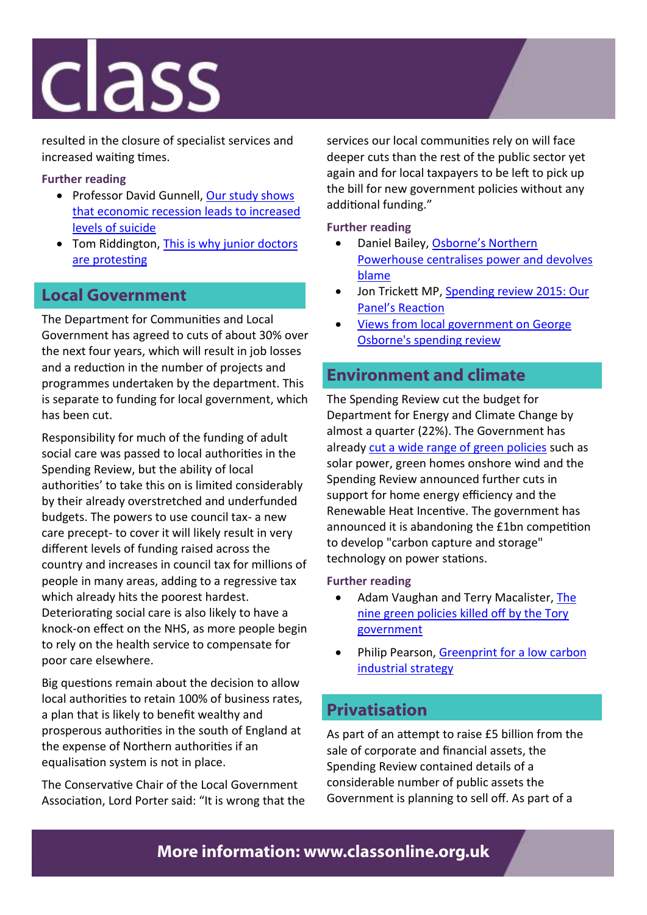### **Class**

resulted in the closure of specialist services and increased waiting times.

### **Further reading**

- Professor David Gunnell, Our study shows [that economic recession leads to increased](http://classonline.org.uk/blog/item/our-study-shows-that-economic-recession-leads-to-increased-levels-of-suicid)  [levels of suicide](http://classonline.org.uk/blog/item/our-study-shows-that-economic-recession-leads-to-increased-levels-of-suicid)
- Tom Riddington, This is why junior doctors [are protesting](http://classonline.org.uk/blog/item/this-is-why-junior-doctors-are-protesting)

### **Local Government**

The Department for Communities and Local Government has agreed to cuts of about 30% over the next four years, which will result in job losses and a reduction in the number of projects and programmes undertaken by the department. This is separate to funding for local government, which has been cut.

Responsibility for much of the funding of adult social care was passed to local authorities in the Spending Review, but the ability of local authorities' to take this on is limited considerably by their already overstretched and underfunded budgets. The powers to use council tax- a new care precept- to cover it will likely result in very different levels of funding raised across the country and increases in council tax for millions of people in many areas, adding to a regressive tax which already hits the poorest hardest. Deteriorating social care is also likely to have a knock-on effect on the NHS, as more people begin to rely on the health service to compensate for poor care elsewhere.

Big questions remain about the decision to allow local authorities to retain 100% of business rates, a plan that is likely to benefit wealthy and prosperous authorities in the south of England at the expense of Northern authorities if an equalisation system is not in place.

The Conservative Chair of the Local Government Association, Lord Porter said: "It is wrong that the

services our local communities rely on will face deeper cuts than the rest of the public sector yet again and for local taxpayers to be left to pick up the bill for new government policies without any additional funding."

**Further reading**

- Daniel Bailey, [Osborne's Northern](http://classonline.org.uk/blog/item/tory-devolution-localising-accountability-and-delivery-whilst-shoring-up-th)  [Powerhouse centralises power and devolves](http://classonline.org.uk/blog/item/tory-devolution-localising-accountability-and-delivery-whilst-shoring-up-th)  [blame](http://classonline.org.uk/blog/item/tory-devolution-localising-accountability-and-delivery-whilst-shoring-up-th)
- Jon Trickett MP, Spending review 2015: Our [Panel's Reaction](http://classonline.org.uk/blog/item/spending-review-2015-our-panels-reaction)
- [Views from local government on George](http://www.theguardian.com/public-leaders-network/2015/nov/25/views-from-local-government-on-george-osbornes-spending-review)  [Osborne's spending review](http://www.theguardian.com/public-leaders-network/2015/nov/25/views-from-local-government-on-george-osbornes-spending-review)

### **Environment and climate**

The Spending Review cut the budget for Department for Energy and Climate Change by almost a quarter (22%). The Government has already [cut a wide range of green policies](http://www.theguardian.com/environment/2015/jul/24/the-9-green-policies-killed-off-by-tory-government) such as solar power, green homes onshore wind and the Spending Review announced further cuts in support for home energy efficiency and the Renewable Heat Incentive. The government has announced it is abandoning the £1bn competition to develop "carbon capture and storage" technology on power stations.

#### **Further reading**

- Adam Vaughan and Terry Macalister, The [nine green policies killed off by the Tory](http://www.theguardian.com/environment/2015/jul/24/the-9-green-policies-killed-off-by-tory-government)  [government](http://www.theguardian.com/environment/2015/jul/24/the-9-green-policies-killed-off-by-tory-government)
- Philip Pearson, [Greenprint for a low carbon](http://classonline.org.uk/blog/item/greenprint-for-a-low-carbon-industrial-strategy)  [industrial strategy](http://classonline.org.uk/blog/item/greenprint-for-a-low-carbon-industrial-strategy)

### **Privatisation**

As part of an attempt to raise £5 billion from the sale of corporate and financial assets, the Spending Review contained details of a considerable number of public assets the Government is planning to sell off. As part of a